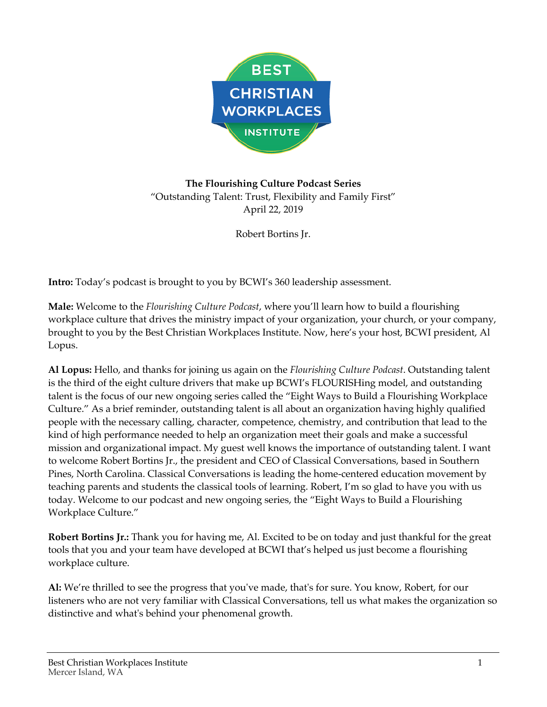

**The Flourishing Culture Podcast Series** "Outstanding Talent: Trust, Flexibility and Family First" April 22, 2019

Robert Bortins Jr.

**Intro:** Today's podcast is brought to you by BCWI's 360 leadership assessment.

**Male:** Welcome to the *Flourishing Culture Podcast*, where you'll learn how to build a flourishing workplace culture that drives the ministry impact of your organization, your church, or your company, brought to you by the Best Christian Workplaces Institute. Now, here's your host, BCWI president, Al Lopus.

**Al Lopus:** Hello, and thanks for joining us again on the *Flourishing Culture Podcast*. Outstanding talent is the third of the eight culture drivers that make up BCWI's FLOURISHing model, and outstanding talent is the focus of our new ongoing series called the "Eight Ways to Build a Flourishing Workplace Culture." As a brief reminder, outstanding talent is all about an organization having highly qualified people with the necessary calling, character, competence, chemistry, and contribution that lead to the kind of high performance needed to help an organization meet their goals and make a successful mission and organizational impact. My guest well knows the importance of outstanding talent. I want to welcome Robert Bortins Jr., the president and CEO of Classical Conversations, based in Southern Pines, North Carolina. Classical Conversations is leading the home-centered education movement by teaching parents and students the classical tools of learning. Robert, I'm so glad to have you with us today. Welcome to our podcast and new ongoing series, the "Eight Ways to Build a Flourishing Workplace Culture."

**Robert Bortins Jr.:** Thank you for having me, Al. Excited to be on today and just thankful for the great tools that you and your team have developed at BCWI that's helped us just become a flourishing workplace culture.

**Al:** We're thrilled to see the progress that you've made, that's for sure. You know, Robert, for our listeners who are not very familiar with Classical Conversations, tell us what makes the organization so distinctive and what's behind your phenomenal growth.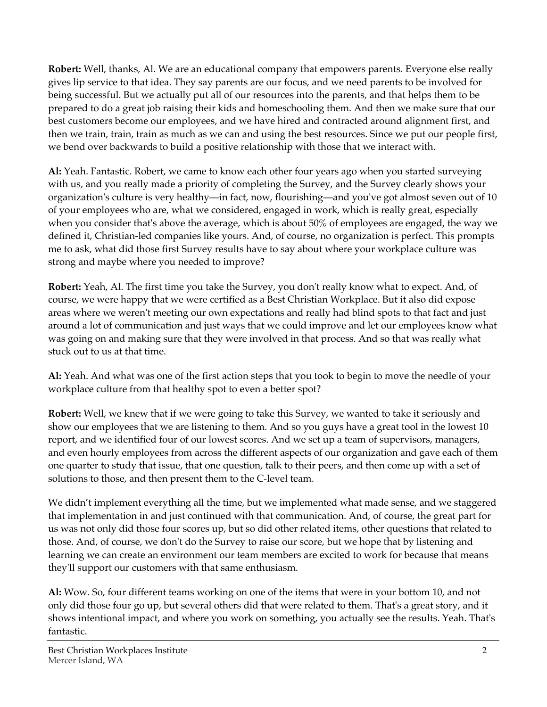**Robert:** Well, thanks, Al. We are an educational company that empowers parents. Everyone else really gives lip service to that idea. They say parents are our focus, and we need parents to be involved for being successful. But we actually put all of our resources into the parents, and that helps them to be prepared to do a great job raising their kids and homeschooling them. And then we make sure that our best customers become our employees, and we have hired and contracted around alignment first, and then we train, train, train as much as we can and using the best resources. Since we put our people first, we bend over backwards to build a positive relationship with those that we interact with.

**Al:** Yeah. Fantastic. Robert, we came to know each other four years ago when you started surveying with us, and you really made a priority of completing the Survey, and the Survey clearly shows your organization's culture is very healthy—in fact, now, flourishing—and you've got almost seven out of 10 of your employees who are, what we considered, engaged in work, which is really great, especially when you consider that's above the average, which is about 50% of employees are engaged, the way we defined it, Christian-led companies like yours. And, of course, no organization is perfect. This prompts me to ask, what did those first Survey results have to say about where your workplace culture was strong and maybe where you needed to improve?

**Robert:** Yeah, Al. The first time you take the Survey, you don't really know what to expect. And, of course, we were happy that we were certified as a Best Christian Workplace. But it also did expose areas where we weren't meeting our own expectations and really had blind spots to that fact and just around a lot of communication and just ways that we could improve and let our employees know what was going on and making sure that they were involved in that process. And so that was really what stuck out to us at that time.

**Al:** Yeah. And what was one of the first action steps that you took to begin to move the needle of your workplace culture from that healthy spot to even a better spot?

**Robert:** Well, we knew that if we were going to take this Survey, we wanted to take it seriously and show our employees that we are listening to them. And so you guys have a great tool in the lowest 10 report, and we identified four of our lowest scores. And we set up a team of supervisors, managers, and even hourly employees from across the different aspects of our organization and gave each of them one quarter to study that issue, that one question, talk to their peers, and then come up with a set of solutions to those, and then present them to the C-level team.

We didn't implement everything all the time, but we implemented what made sense, and we staggered that implementation in and just continued with that communication. And, of course, the great part for us was not only did those four scores up, but so did other related items, other questions that related to those. And, of course, we don't do the Survey to raise our score, but we hope that by listening and learning we can create an environment our team members are excited to work for because that means they'll support our customers with that same enthusiasm.

**Al:** Wow. So, four different teams working on one of the items that were in your bottom 10, and not only did those four go up, but several others did that were related to them. That's a great story, and it shows intentional impact, and where you work on something, you actually see the results. Yeah. That's fantastic.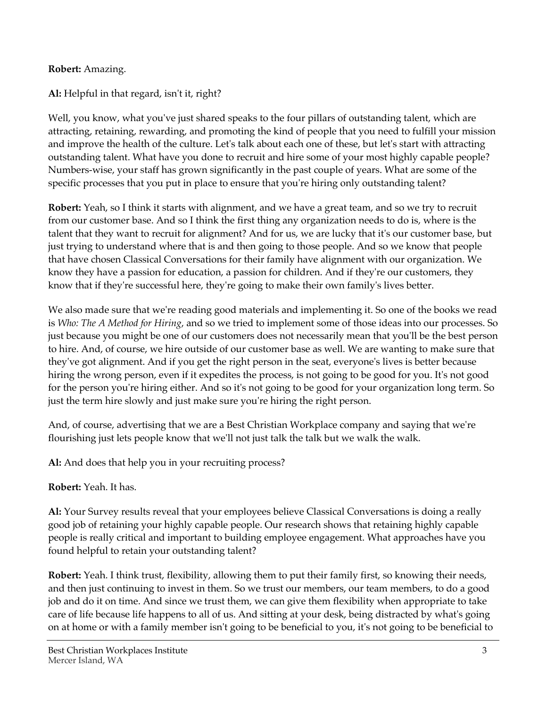## **Robert:** Amazing.

**Al:** Helpful in that regard, isn't it, right?

Well, you know, what you've just shared speaks to the four pillars of outstanding talent, which are attracting, retaining, rewarding, and promoting the kind of people that you need to fulfill your mission and improve the health of the culture. Let's talk about each one of these, but let's start with attracting outstanding talent. What have you done to recruit and hire some of your most highly capable people? Numbers-wise, your staff has grown significantly in the past couple of years. What are some of the specific processes that you put in place to ensure that you're hiring only outstanding talent?

**Robert:** Yeah, so I think it starts with alignment, and we have a great team, and so we try to recruit from our customer base. And so I think the first thing any organization needs to do is, where is the talent that they want to recruit for alignment? And for us, we are lucky that it's our customer base, but just trying to understand where that is and then going to those people. And so we know that people that have chosen Classical Conversations for their family have alignment with our organization. We know they have a passion for education, a passion for children. And if they're our customers, they know that if they're successful here, they're going to make their own family's lives better.

We also made sure that we're reading good materials and implementing it. So one of the books we read is *Who: The A Method for Hiring*, and so we tried to implement some of those ideas into our processes. So just because you might be one of our customers does not necessarily mean that you'll be the best person to hire. And, of course, we hire outside of our customer base as well. We are wanting to make sure that they've got alignment. And if you get the right person in the seat, everyone's lives is better because hiring the wrong person, even if it expedites the process, is not going to be good for you. It's not good for the person you're hiring either. And so it's not going to be good for your organization long term. So just the term hire slowly and just make sure you're hiring the right person.

And, of course, advertising that we are a Best Christian Workplace company and saying that we're flourishing just lets people know that we'll not just talk the talk but we walk the walk.

**Al:** And does that help you in your recruiting process?

## **Robert:** Yeah. It has.

**Al:** Your Survey results reveal that your employees believe Classical Conversations is doing a really good job of retaining your highly capable people. Our research shows that retaining highly capable people is really critical and important to building employee engagement. What approaches have you found helpful to retain your outstanding talent?

**Robert:** Yeah. I think trust, flexibility, allowing them to put their family first, so knowing their needs, and then just continuing to invest in them. So we trust our members, our team members, to do a good job and do it on time. And since we trust them, we can give them flexibility when appropriate to take care of life because life happens to all of us. And sitting at your desk, being distracted by what's going on at home or with a family member isn't going to be beneficial to you, it's not going to be beneficial to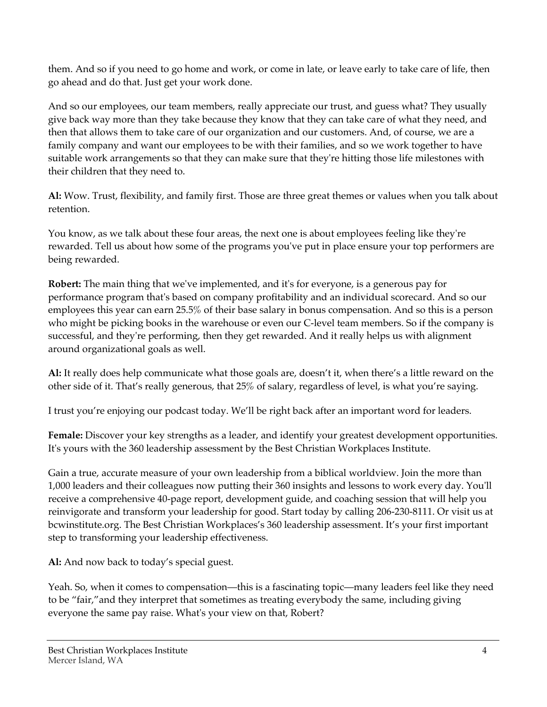them. And so if you need to go home and work, or come in late, or leave early to take care of life, then go ahead and do that. Just get your work done.

And so our employees, our team members, really appreciate our trust, and guess what? They usually give back way more than they take because they know that they can take care of what they need, and then that allows them to take care of our organization and our customers. And, of course, we are a family company and want our employees to be with their families, and so we work together to have suitable work arrangements so that they can make sure that they're hitting those life milestones with their children that they need to.

**Al:** Wow. Trust, flexibility, and family first. Those are three great themes or values when you talk about retention.

You know, as we talk about these four areas, the next one is about employees feeling like they're rewarded. Tell us about how some of the programs you've put in place ensure your top performers are being rewarded.

**Robert:** The main thing that we've implemented, and it's for everyone, is a generous pay for performance program that's based on company profitability and an individual scorecard. And so our employees this year can earn 25.5% of their base salary in bonus compensation. And so this is a person who might be picking books in the warehouse or even our C-level team members. So if the company is successful, and they're performing, then they get rewarded. And it really helps us with alignment around organizational goals as well.

**Al:** It really does help communicate what those goals are, doesn't it, when there's a little reward on the other side of it. That's really generous, that 25% of salary, regardless of level, is what you're saying.

I trust you're enjoying our podcast today. We'll be right back after an important word for leaders.

**Female:** Discover your key strengths as a leader, and identify your greatest development opportunities. It's yours with the 360 leadership assessment by the Best Christian Workplaces Institute.

Gain a true, accurate measure of your own leadership from a biblical worldview. Join the more than 1,000 leaders and their colleagues now putting their 360 insights and lessons to work every day. You'll receive a comprehensive 40-page report, development guide, and coaching session that will help you reinvigorate and transform your leadership for good. Start today by calling 206-230-8111. Or visit us at bcwinstitute.org. The Best Christian Workplaces's 360 leadership assessment. It's your first important step to transforming your leadership effectiveness.

**Al:** And now back to today's special guest.

Yeah. So, when it comes to compensation—this is a fascinating topic—many leaders feel like they need to be "fair,"and they interpret that sometimes as treating everybody the same, including giving everyone the same pay raise. What's your view on that, Robert?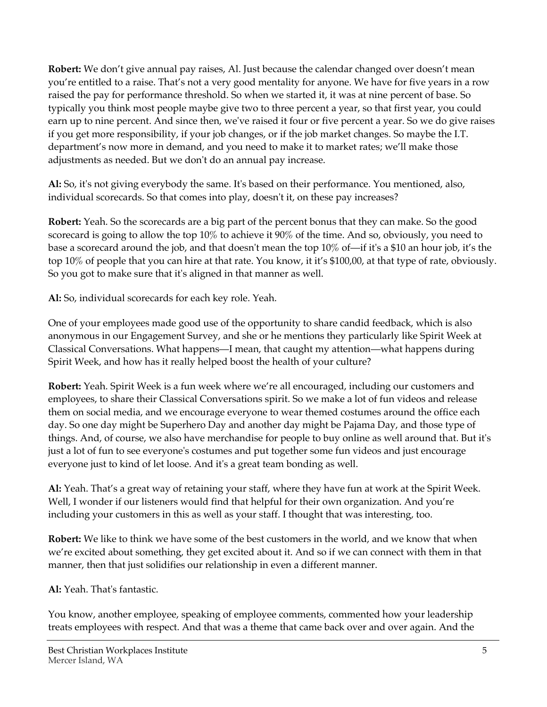**Robert:** We don't give annual pay raises, Al. Just because the calendar changed over doesn't mean you're entitled to a raise. That's not a very good mentality for anyone. We have for five years in a row raised the pay for performance threshold. So when we started it, it was at nine percent of base. So typically you think most people maybe give two to three percent a year, so that first year, you could earn up to nine percent. And since then, we've raised it four or five percent a year. So we do give raises if you get more responsibility, if your job changes, or if the job market changes. So maybe the I.T. department's now more in demand, and you need to make it to market rates; we'll make those adjustments as needed. But we don't do an annual pay increase.

**Al:** So, it's not giving everybody the same. It's based on their performance. You mentioned, also, individual scorecards. So that comes into play, doesn't it, on these pay increases?

**Robert:** Yeah. So the scorecards are a big part of the percent bonus that they can make. So the good scorecard is going to allow the top 10% to achieve it 90% of the time. And so, obviously, you need to base a scorecard around the job, and that doesn't mean the top 10% of—if it's a \$10 an hour job, it's the top 10% of people that you can hire at that rate. You know, it it's \$100,00, at that type of rate, obviously. So you got to make sure that it's aligned in that manner as well.

**Al:** So, individual scorecards for each key role. Yeah.

One of your employees made good use of the opportunity to share candid feedback, which is also anonymous in our Engagement Survey, and she or he mentions they particularly like Spirit Week at Classical Conversations. What happens—I mean, that caught my attention—what happens during Spirit Week, and how has it really helped boost the health of your culture?

**Robert:** Yeah. Spirit Week is a fun week where we're all encouraged, including our customers and employees, to share their Classical Conversations spirit. So we make a lot of fun videos and release them on social media, and we encourage everyone to wear themed costumes around the office each day. So one day might be Superhero Day and another day might be Pajama Day, and those type of things. And, of course, we also have merchandise for people to buy online as well around that. But it's just a lot of fun to see everyone's costumes and put together some fun videos and just encourage everyone just to kind of let loose. And it's a great team bonding as well.

**Al:** Yeah. That's a great way of retaining your staff, where they have fun at work at the Spirit Week. Well, I wonder if our listeners would find that helpful for their own organization. And you're including your customers in this as well as your staff. I thought that was interesting, too.

**Robert:** We like to think we have some of the best customers in the world, and we know that when we're excited about something, they get excited about it. And so if we can connect with them in that manner, then that just solidifies our relationship in even a different manner.

**Al:** Yeah. That's fantastic.

You know, another employee, speaking of employee comments, commented how your leadership treats employees with respect. And that was a theme that came back over and over again. And the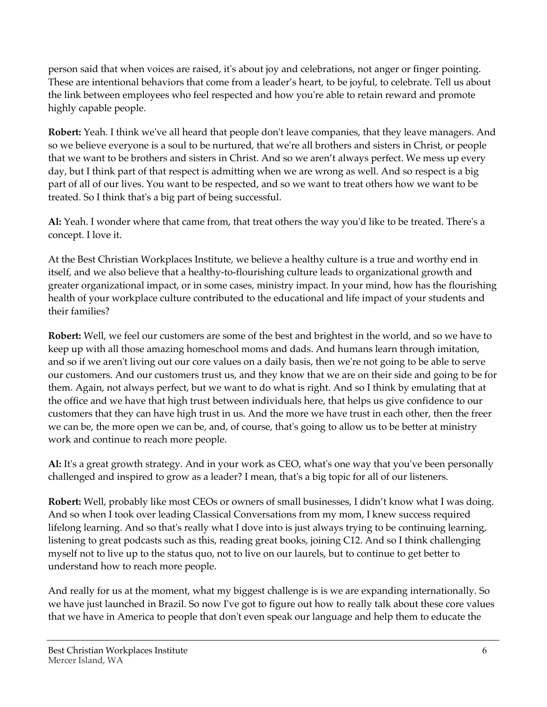person said that when voices are raised, it's about joy and celebrations, not anger or finger pointing. These are intentional behaviors that come from a leader's heart, to be joyful, to celebrate. Tell us about the link between employees who feel respected and how you're able to retain reward and promote highly capable people.

**Robert:** Yeah. I think we've all heard that people don't leave companies, that they leave managers. And so we believe everyone is a soul to be nurtured, that we're all brothers and sisters in Christ, or people that we want to be brothers and sisters in Christ. And so we aren't always perfect. We mess up every day, but I think part of that respect is admitting when we are wrong as well. And so respect is a big part of all of our lives. You want to be respected, and so we want to treat others how we want to be treated. So I think that's a big part of being successful.

**Al:** Yeah. I wonder where that came from, that treat others the way you'd like to be treated. There's a concept. I love it.

At the Best Christian Workplaces Institute, we believe a healthy culture is a true and worthy end in itself, and we also believe that a healthy-to-flourishing culture leads to organizational growth and greater organizational impact, or in some cases, ministry impact. In your mind, how has the flourishing health of your workplace culture contributed to the educational and life impact of your students and their families?

**Robert:** Well, we feel our customers are some of the best and brightest in the world, and so we have to keep up with all those amazing homeschool moms and dads. And humans learn through imitation, and so if we aren't living out our core values on a daily basis, then we're not going to be able to serve our customers. And our customers trust us, and they know that we are on their side and going to be for them. Again, not always perfect, but we want to do what is right. And so I think by emulating that at the office and we have that high trust between individuals here, that helps us give confidence to our customers that they can have high trust in us. And the more we have trust in each other, then the freer we can be, the more open we can be, and, of course, that's going to allow us to be better at ministry work and continue to reach more people.

**Al:** It's a great growth strategy. And in your work as CEO, what's one way that you've been personally challenged and inspired to grow as a leader? I mean, that's a big topic for all of our listeners.

**Robert:** Well, probably like most CEOs or owners of small businesses, I didn't know what I was doing. And so when I took over leading Classical Conversations from my mom, I knew success required lifelong learning. And so that's really what I dove into is just always trying to be continuing learning, listening to great podcasts such as this, reading great books, joining C12. And so I think challenging myself not to live up to the status quo, not to live on our laurels, but to continue to get better to understand how to reach more people.

And really for us at the moment, what my biggest challenge is is we are expanding internationally. So we have just launched in Brazil. So now I've got to figure out how to really talk about these core values that we have in America to people that don't even speak our language and help them to educate the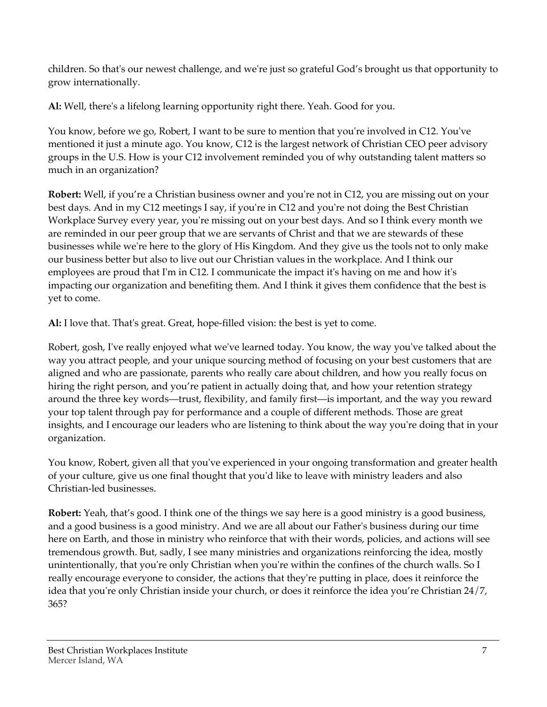children. So that's our newest challenge, and we're just so grateful God's brought us that opportunity to grow internationally.

**Al:** Well, there's a lifelong learning opportunity right there. Yeah. Good for you.

You know, before we go, Robert, I want to be sure to mention that you're involved in C12. You've mentioned it just a minute ago. You know, C12 is the largest network of Christian CEO peer advisory groups in the U.S. How is your C12 involvement reminded you of why outstanding talent matters so much in an organization?

**Robert:** Well, if you're a Christian business owner and you're not in C12, you are missing out on your best days. And in my C12 meetings I say, if you're in C12 and you're not doing the Best Christian Workplace Survey every year, you're missing out on your best days. And so I think every month we are reminded in our peer group that we are servants of Christ and that we are stewards of these businesses while we're here to the glory of His Kingdom. And they give us the tools not to only make our business better but also to live out our Christian values in the workplace. And I think our employees are proud that I'm in C12. I communicate the impact it's having on me and how it's impacting our organization and benefiting them. And I think it gives them confidence that the best is yet to come.

**Al:** I love that. That's great. Great, hope-filled vision: the best is yet to come.

Robert, gosh, I've really enjoyed what we've learned today. You know, the way you've talked about the way you attract people, and your unique sourcing method of focusing on your best customers that are aligned and who are passionate, parents who really care about children, and how you really focus on hiring the right person, and you're patient in actually doing that, and how your retention strategy around the three key words—trust, flexibility, and family first—is important, and the way you reward your top talent through pay for performance and a couple of different methods. Those are great insights, and I encourage our leaders who are listening to think about the way you're doing that in your organization.

You know, Robert, given all that you've experienced in your ongoing transformation and greater health of your culture, give us one final thought that you'd like to leave with ministry leaders and also Christian-led businesses.

**Robert:** Yeah, that's good. I think one of the things we say here is a good ministry is a good business, and a good business is a good ministry. And we are all about our Father's business during our time here on Earth, and those in ministry who reinforce that with their words, policies, and actions will see tremendous growth. But, sadly, I see many ministries and organizations reinforcing the idea, mostly unintentionally, that you're only Christian when you're within the confines of the church walls. So I really encourage everyone to consider, the actions that they're putting in place, does it reinforce the idea that you're only Christian inside your church, or does it reinforce the idea you're Christian 24/7, 365?